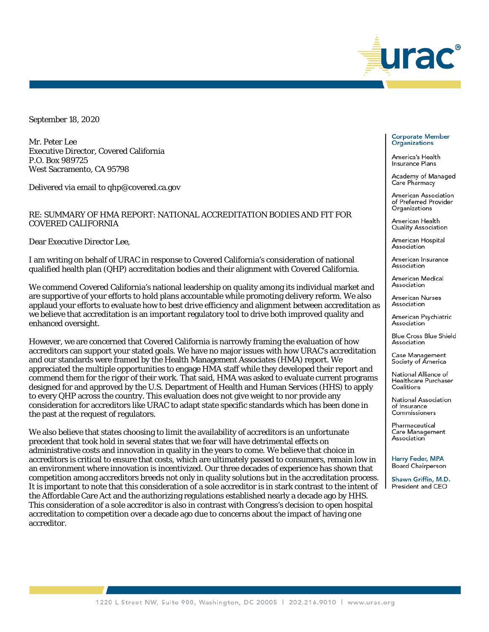

September 18, 2020

Mr. Peter Lee Executive Director, Covered California P.O. Box 989725 West Sacramento, CA 95798

Delivered via email to qhp@covered.ca.gov

## RE: SUMMARY OF HMA REPORT: NATIONAL ACCREDITATION BODIES AND FIT FOR COVERED CALIFORNIA

Dear Executive Director Lee,

I am writing on behalf of URAC in response to Covered California's consideration of national qualified health plan (QHP) accreditation bodies and their alignment with Covered California.

We commend Covered California's national leadership on quality among its individual market and are supportive of your efforts to hold plans accountable while promoting delivery reform. We also applaud your efforts to evaluate how to best drive efficiency and alignment between accreditation as we believe that accreditation is an important regulatory tool to drive both improved quality and enhanced oversight.

However, we are concerned that Covered California is narrowly framing the evaluation of how accreditors can support your stated goals. We have no major issues with how URAC's accreditation and our standards were framed by the Health Management Associates (HMA) report. We appreciated the multiple opportunities to engage HMA staff while they developed their report and commend them for the rigor of their work. That said, HMA was asked to evaluate current programs designed for and approved by the U.S. Department of Health and Human Services (HHS) to apply to every QHP across the country. This evaluation does not give weight to nor provide any consideration for accreditors like URAC to adapt state specific standards which has been done in the past at the request of regulators.

We also believe that states choosing to limit the availability of accreditors is an unfortunate precedent that took hold in several states that we fear will have detrimental effects on administrative costs and innovation in quality in the years to come. We believe that choice in accreditors is critical to ensure that costs, which are ultimately passed to consumers, remain low in an environment where innovation is incentivized. Our three decades of experience has shown that competition among accreditors breeds not only in quality solutions but in the accreditation process. It is important to note that this consideration of a sole accreditor is in stark contrast to the intent of the Affordable Care Act and the authorizing regulations established nearly a decade ago by HHS. This consideration of a sole accreditor is also in contrast with Congress's decision to open hospital accreditation to competition over a decade ago due to concerns about the impact of having one accreditor.

## **Corporate Member Organizations**

America's Health Insurance Plans

Academy of Managed Care Pharmacy

American Association of Preferred Provider Organizations

American Health Quality Association

American Hospital Association

American Insurance Association

American Medical Association

American Nurses Association

American Psychiatric Association

Blue Cross Blue Shield Association

Case Management Society of America

National Alliance of Healthcare Purchaser Coalitions

National Association of Insurance Commissioners

Pharmaceutical Care Management Association

**Harry Feder, MPA Board Chairperson** 

Shawn Griffin, M.D. President and CEO